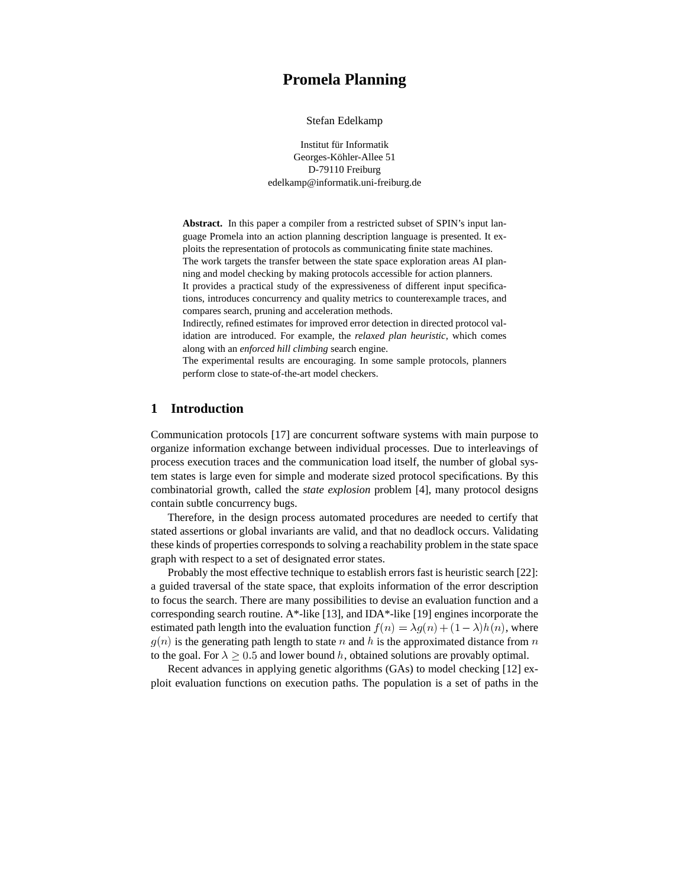# **Promela Planning**

Stefan Edelkamp

Institut für Informatik Georges-Köhler-Allee 51 D-79110 Freiburg edelkamp@informatik.uni-freiburg.de

**Abstract.** In this paper a compiler from a restricted subset of SPIN's input language Promela into an action planning description language is presented. It exploits the representation of protocols as communicating finite state machines. The work targets the transfer between the state space exploration areas AI planning and model checking by making protocols accessible for action planners. It provides a practical study of the expressiveness of different input specifications, introduces concurrency and quality metrics to counterexample traces, and compares search, pruning and acceleration methods.

Indirectly, refined estimates for improved error detection in directed protocol validation are introduced. For example, the *relaxed plan heuristic*, which comes along with an *enforced hill climbing* search engine.

The experimental results are encouraging. In some sample protocols, planners perform close to state-of-the-art model checkers.

## **1 Introduction**

Communication protocols [17] are concurrent software systems with main purpose to organize information exchange between individual processes. Due to interleavings of process execution traces and the communication load itself, the number of global system states is large even for simple and moderate sized protocol specifications. By this combinatorial growth, called the *state explosion* problem [4], many protocol designs contain subtle concurrency bugs.

Therefore, in the design process automated procedures are needed to certify that stated assertions or global invariants are valid, and that no deadlock occurs. Validating these kinds of properties corresponds to solving a reachability problem in the state space graph with respect to a set of designated error states.

Probably the most effective technique to establish errors fast is heuristic search [22]: a guided traversal of the state space, that exploits information of the error description to focus the search. There are many possibilities to devise an evaluation function and a corresponding search routine. A\*-like [13], and IDA\*-like [19] engines incorporate the estimated path length into the evaluation function  $f(n) = \lambda g(n) + (1 - \lambda)h(n)$ , where  $g(n)$  is the generating path length to state n and h is the approximated distance from n to the goal. For  $\lambda \geq 0.5$  and lower bound h, obtained solutions are provably optimal.

Recent advances in applying genetic algorithms (GAs) to model checking [12] exploit evaluation functions on execution paths. The population is a set of paths in the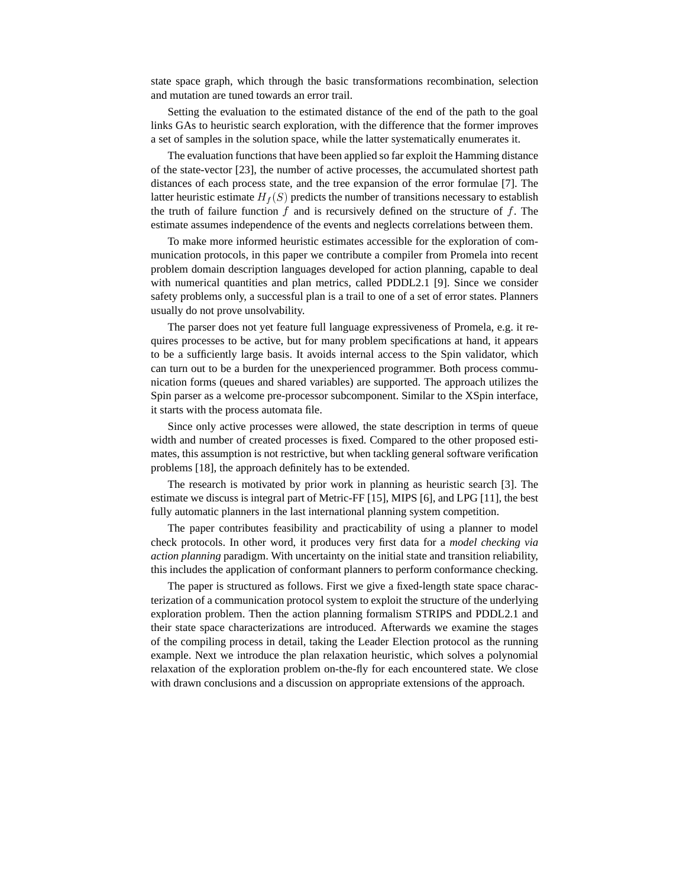state space graph, which through the basic transformations recombination, selection and mutation are tuned towards an error trail.

Setting the evaluation to the estimated distance of the end of the path to the goal links GAs to heuristic search exploration, with the difference that the former improves a set of samples in the solution space, while the latter systematically enumerates it.

The evaluation functions that have been applied so far exploit the Hamming distance of the state-vector [23], the number of active processes, the accumulated shortest path distances of each process state, and the tree expansion of the error formulae [7]. The latter heuristic estimate  $H_f(S)$  predicts the number of transitions necessary to establish the truth of failure function  $f$  and is recursively defined on the structure of  $f$ . The estimate assumes independence of the events and neglects correlations between them.

To make more informed heuristic estimates accessible for the exploration of communication protocols, in this paper we contribute a compiler from Promela into recent problem domain description languages developed for action planning, capable to deal with numerical quantities and plan metrics, called PDDL2.1 [9]. Since we consider safety problems only, a successful plan is a trail to one of a set of error states. Planners usually do not prove unsolvability.

The parser does not yet feature full language expressiveness of Promela, e.g. it requires processes to be active, but for many problem specifications at hand, it appears to be a sufficiently large basis. It avoids internal access to the Spin validator, which can turn out to be a burden for the unexperienced programmer. Both process communication forms (queues and shared variables) are supported. The approach utilizes the Spin parser as a welcome pre-processor subcomponent. Similar to the XSpin interface, it starts with the process automata file.

Since only active processes were allowed, the state description in terms of queue width and number of created processes is fixed. Compared to the other proposed estimates, this assumption is not restrictive, but when tackling general software verification problems [18], the approach definitely has to be extended.

The research is motivated by prior work in planning as heuristic search [3]. The estimate we discuss is integral part of Metric-FF [15], MIPS [6], and LPG [11], the best fully automatic planners in the last international planning system competition.

The paper contributes feasibility and practicability of using a planner to model check protocols. In other word, it produces very first data for a *model checking via action planning* paradigm. With uncertainty on the initial state and transition reliability, this includes the application of conformant planners to perform conformance checking.

The paper is structured as follows. First we give a fixed-length state space characterization of a communication protocol system to exploit the structure of the underlying exploration problem. Then the action planning formalism STRIPS and PDDL2.1 and their state space characterizations are introduced. Afterwards we examine the stages of the compiling process in detail, taking the Leader Election protocol as the running example. Next we introduce the plan relaxation heuristic, which solves a polynomial relaxation of the exploration problem on-the-fly for each encountered state. We close with drawn conclusions and a discussion on appropriate extensions of the approach.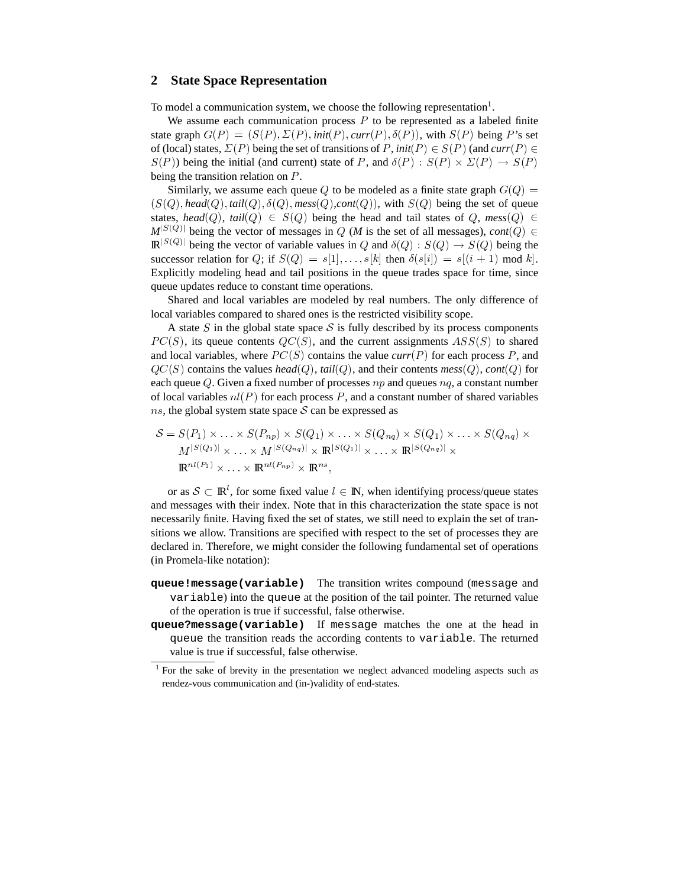### **2 State Space Representation**

To model a communication system, we choose the following representation $<sup>1</sup>$ .</sup>

We assume each communication process  $P$  to be represented as a labeled finite state graph  $G(P) = (S(P), \Sigma(P), init(P), curr(P), \delta(P))$ , with  $S(P)$  being P's set of (local) states,  $\Sigma(P)$  being the set of transitions of P, *init*( $P$ )  $\in S(P)$  (and  $curr(P) \in$  $S(P)$ ) being the initial (and current) state of P, and  $\delta(P)$ :  $S(P) \times \Sigma(P) \rightarrow S(P)$ being the transition relation on  $P$ .

Similarly, we assume each queue Q to be modeled as a finite state graph  $G(Q)$  =  $(S(Q), head(Q), tail(Q), \delta(Q), \text{mess}(Q), \text{cont}(Q)),$  with  $S(Q)$  being the set of queue states, *head*(*Q*), *tail*(*Q*)  $\in S(Q)$  being the head and tail states of *Q*, *mess*(*Q*)  $\in$  $M^{|S(Q)|}$  being the vector of messages in Q (*M* is the set of all messages), *cont*(Q)  $\in$  $\mathbb{R}^{|S(Q)|}$  being the vector of variable values in Q and  $\delta(Q) : S(Q) \to S(Q)$  being the successor relation for Q; if  $S(Q) = s[1], \ldots, s[k]$  then  $\delta(s[i]) = s[(i + 1) \text{ mod } k]$ . Explicitly modeling head and tail positions in the queue trades space for time, since queue updates reduce to constant time operations.

Shared and local variables are modeled by real numbers. The only difference of local variables compared to shared ones is the restricted visibility scope.

A state  $S$  in the global state space  $S$  is fully described by its process components  $PC(S)$ , its queue contents  $QC(S)$ , and the current assignments  $ASS(S)$  to shared and local variables, where  $PC(S)$  contains the value  $curr(P)$  for each process P, and  $QC(S)$  contains the values  $head(Q)$ ,  $tail(Q)$ , and their contents  $mess(Q)$ ,  $cont(Q)$  for each queue Q. Given a fixed number of processes  $np$  and queues  $nq$ , a constant number of local variables  $nl(P)$  for each process P, and a constant number of shared variables ns, the global system state space  $S$  can be expressed as

$$
S = S(P_1) \times \ldots \times S(P_{np}) \times S(Q_1) \times \ldots \times S(Q_{nq}) \times S(Q_1) \times \ldots \times S(Q_{nq}) \times \nM^{|S(Q_1)|} \times \ldots \times M^{|S(Q_{nq})|} \times \mathbb{R}^{|S(Q_1)|} \times \ldots \times \mathbb{R}^{|S(Q_{nq})|} \times \n\mathbb{R}^{nl(P_1)} \times \ldots \times \mathbb{R}^{nl(P_{np})} \times \mathbb{R}^{ns},
$$

or as  $S \subset \mathbb{R}^l$ , for some fixed value  $l \in \mathbb{N}$ , when identifying process/queue states and messages with their index. Note that in this characterization the state space is not necessarily finite. Having fixed the set of states, we still need to explain the set of transitions we allow. Transitions are specified with respect to the set of processes they are declared in. Therefore, we might consider the following fundamental set of operations (in Promela-like notation):

- **queue!message(variable)** The transition writes compound (message and variable) into the queue at the position of the tail pointer. The returned value of the operation is true if successful, false otherwise.
- **queue?message(variable)** If message matches the one at the head in queue the transition reads the according contents to variable. The returned value is true if successful, false otherwise.

<sup>&</sup>lt;sup>1</sup> For the sake of brevity in the presentation we neglect advanced modeling aspects such as rendez-vous communication and (in-)validity of end-states.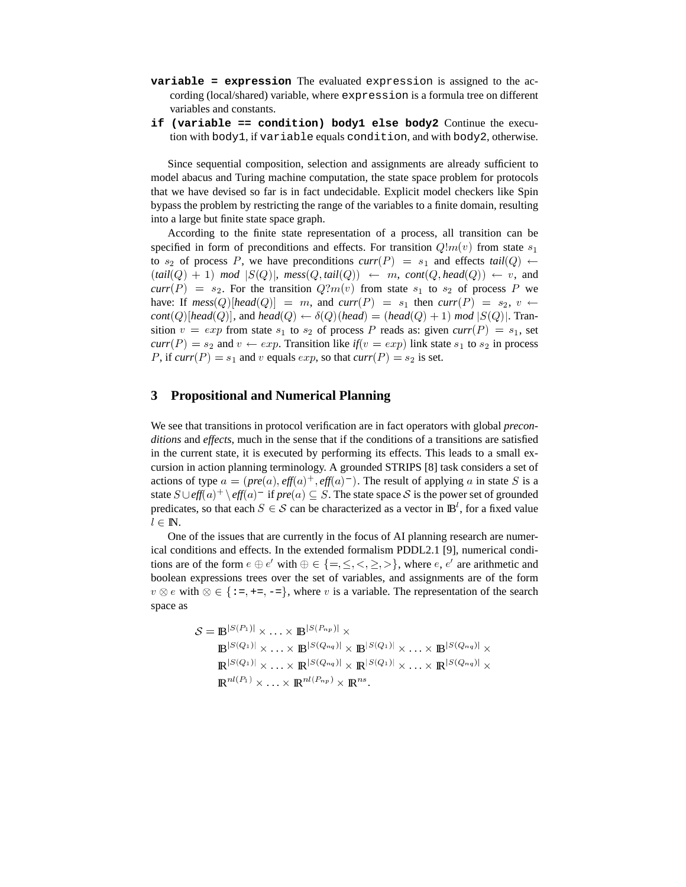- **variable = expression** The evaluated expression is assigned to the according (local/shared) variable, where expression is a formula tree on different variables and constants.
- **if (variable == condition) body1 else body2** Continue the execution with body1, if variable equals condition, and with body2, otherwise.

Since sequential composition, selection and assignments are already sufficient to model abacus and Turing machine computation, the state space problem for protocols that we have devised so far is in fact undecidable. Explicit model checkers like Spin bypass the problem by restricting the range of the variables to a finite domain, resulting into a large but finite state space graph.

According to the finite state representation of a process, all transition can be specified in form of preconditions and effects. For transition  $Q \, m(v)$  from state  $s_1$ to  $s_2$  of process P, we have preconditions  $curr(P) = s_1$  and effects  $tail(Q) \leftarrow$  $(\text{tail}(Q) + 1) \mod |S(Q)|$ ,  $\text{mess}(Q, \text{tail}(Q)) \leftarrow m$ ,  $\text{cont}(Q, \text{head}(Q)) \leftarrow v$ , and  $curr(P) = s_2$ . For the transition  $Q?m(v)$  from state  $s_1$  to  $s_2$  of process P we have: If  $\text{mess}(Q) | \text{head}(Q) | = m$ , and  $\text{curr}(P) = s_1$  then  $\text{curr}(P) = s_2, v \leftarrow$  $cont(Q)$  [head( $Q$ )], and  $head(Q) \leftarrow \delta(Q)$  (head) = (head( $Q$ ) + 1) mod  $|S(Q)|$ . Transition  $v = exp$  from state  $s_1$  to  $s_2$  of process P reads as: given  $curr(P) = s_1$ , set  $curr(P) = s_2$  and  $v \leftarrow exp$ . Transition like  $if(v = exp)$  link state  $s_1$  to  $s_2$  in process P, if  $curr(P) = s_1$  and v equals  $exp$ , so that  $curr(P) = s_2$  is set.

### **3 Propositional and Numerical Planning**

We see that transitions in protocol verification are in fact operators with global *preconditions* and *effects*, much in the sense that if the conditions of a transitions are satisfied in the current state, it is executed by performing its effects. This leads to a small excursion in action planning terminology. A grounded STRIPS [8] task considers a set of actions of type  $a = (pre(a), eff(a)^+, eff(a)^-)$ . The result of applying a in state S is a state  $S \cup \text{eff}(a)^+ \setminus \text{eff}(a)^-$  if  $\text{pre}(a) \subseteq S$ . The state space S is the power set of grounded predicates, so that each  $S \in \mathcal{S}$  can be characterized as a vector in  $\mathbb{B}^l$ , for a fixed value  $l \in \mathbb{N}$ .

One of the issues that are currently in the focus of AI planning research are numerical conditions and effects. In the extended formalism PDDL2.1 [9], numerical conditions are of the form  $e \oplus e'$  with  $\oplus \in \{ =, \leq, \leq, \geq, \geq \}$ , where  $e, e'$  are arithmetic and boolean expressions trees over the set of variables, and assignments are of the form  $v \otimes e$  with  $\otimes \in \{ \pm, \pm, \pm, \pm \}$ , where v is a variable. The representation of the search space as

$$
\mathcal{S} = \mathbb{B}^{|S(P_1)|} \times \ldots \times \mathbb{B}^{|S(P_{np})|} \times
$$
  
\n
$$
\mathbb{B}^{|S(Q_1)|} \times \ldots \times \mathbb{B}^{|S(Q_{nq})|} \times \mathbb{B}^{|S(Q_1)|} \times \ldots \times \mathbb{B}^{|S(Q_{nq})|} \times
$$
  
\n
$$
\mathbb{R}^{|S(Q_1)|} \times \ldots \times \mathbb{R}^{|S(Q_{nq})|} \times \mathbb{R}^{|S(Q_1)|} \times \ldots \times \mathbb{R}^{|S(Q_{nq})|} \times
$$
  
\n
$$
\mathbb{R}^{nl(P_1)} \times \ldots \times \mathbb{R}^{nl(P_{np})} \times \mathbb{R}^{ns}.
$$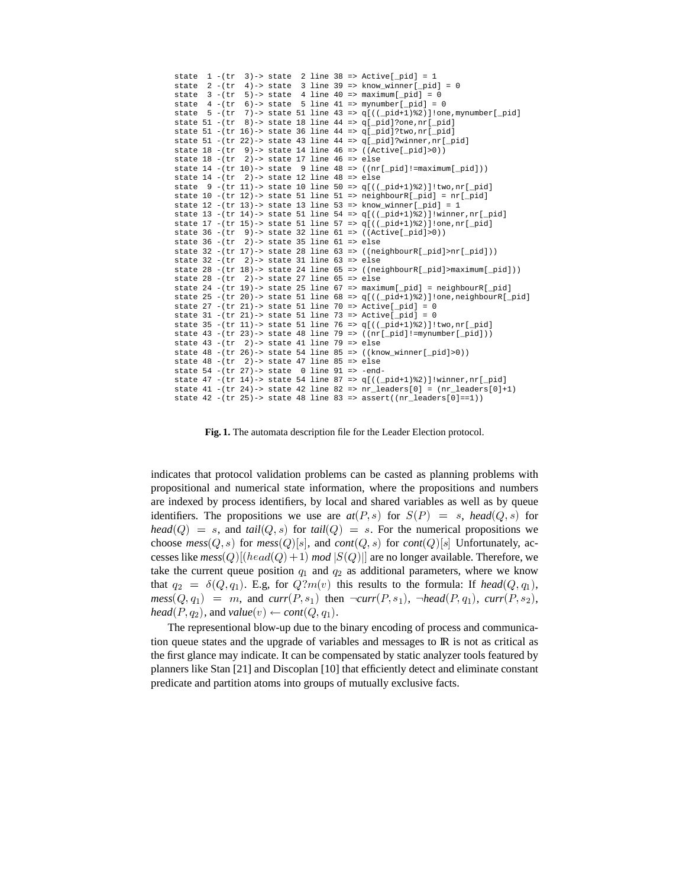```
state 1 - (tr 3) \rightarrow state 2 line 38 \Rightarrow Active[_pid] = 1
state 2 - (tr 4) \rightarrow state 3 line 39 => know_winner[_pid] = 0
state 3 - (tr 5)-> state 4 line 40 => maximum[pid] = 0
state 4 - (tr 6) \rightarrow state 5 line 41 => mynumber [pid] = 0
state 5 - (tr 7) \rightarrow state 51 line 43 => q[((_pid+1)%2)]!one, mynumber[_pid]
state 51 -(tr 8)-> state 18 line 44 => q[_pid]?one,nr[_pid]
state 51 -(tr 16)-> state 36 line 44 => q[_pid]?two,nr[_pid]
state 51 -(tr 22)-> state 43 line 44 => q[_pid]?winner,nr[_pid]
state 18 - (tr \ 9) \rightarrow state 14 line 46 \Rightarrow ((Active[pid]>0))state 18 - (tr) 2) -> state 17 line 46 => else
state 14 - (tr 10) \rightarrow state 9 line 48 \Rightarrow ((nr[\underline{pid}]): = \underline{maximum}[\underline{pid}]))state 14 - (tr \t2) \rightarrow state 12 line 48 \Rightarrow else
state 9 - (tr 11) \rightarrow state 10 line 50 \Rightarrow q[((pi+1)*2)]!two,nr[pid]state 10 -(tr 12)-> state 51 line 51 => neighbourR[ pid] = nr[ pid]
state 12 - (tr 13) \rightarrow state 13 line 53 \Rightarrow know winner[ pid] = 1
state 13 -(tr 14)-> state 51 line 54 => q[((_pid+1)%2)]!winner,nr[_pid]
state 17 - (tr 15) -> state 51 line 57 = \frac{q}{(pi+1)*2}] !one, nr[pid]
state 36 - (tr \ 9) \rightarrow state 32 line 61 \Rightarrow ((Active[\__pid] > 0))state 36 - (tr 2) \rightarrow state 35 line 61 \Rightarrow else
state 32 - (tr 17)-> state 28 line 63 \Rightarrow ((neighbourR[\underline{pid}])\n)state 32 - (tr 2) \rightarrow state 31 line 63 \Rightarrow else
state 28 - (tr 18)-> state 24 line 65 \Rightarrow ((neighbourR[pid]) maximum[pid]))
state 28 - (tr) 2) -> state 27 line 65 => else
state 24 -(tr 19)-> state 25 line 67 => maximum[ pid] = neighbourR[ pid]
state 25 -(tr 20)-> state 51 line 68 => q[((_pid+1)%2)]!one,neighbourR[_pid]
state 27 - (tr 21) \rightarrow state 51 line 70 \Rightarrow Active[_pid] = 0
state 31 - (tr 21) \rightarrow state 51 line 73 \Rightarrow Active[_pid] = 0
state 35 -(tr 11)-> state 51 line 76 => q[((_pid+1)%2)]!two,nr[_pid]
state 43 -(tr 23)-> state 48 line 79 => ((nr[_pid]!=mynumber[_pid]))
state 43 - (tr \t2) \rightarrow state 41 line 79 \Rightarrow else
state 48 - (tr 26) \rightarrow state 54 line 85 \Rightarrow ((known\_winner[\n__pid] > 0))state 48 - (tr \t2) \rightarrow state 47 line 85 \Rightarrow else
state 54 -(tr 27) \rightarrow state 0 line 91 => -end-
state 47 - (tr 14)-> state 54 line 87 = q((\text{pid}+1)\frac{2}{3})!winner,nr[pid]
state 41 -(tr 24)-> state 42 line 82 => nr leaders[0] = (nr leaders[0]+1)
state 42 -(tr 25)-> state 48 line 83 => assert((nr_leaders[0]==1))
```
**Fig. 1.** The automata description file for the Leader Election protocol.

indicates that protocol validation problems can be casted as planning problems with propositional and numerical state information, where the propositions and numbers are indexed by process identifiers, by local and shared variables as well as by queue identifiers. The propositions we use are  $at(P, s)$  for  $S(P) = s$ , head(Q, s) for  $head(Q) = s$ , and  $tail(Q, s)$  for  $tail(Q) = s$ . For the numerical propositions we choose  $\text{mess}(Q, s)$  for  $\text{mess}(Q)[s]$ , and  $\text{cont}(Q, s)$  for  $\text{cont}(Q)[s]$  Unfortunately, accesses like  $mess(Q)$  [ $(head(Q) + 1)$  *mod*  $|S(Q)|$ ] are no longer available. Therefore, we take the current queue position  $q_1$  and  $q_2$  as additional parameters, where we know that  $q_2 = \delta(Q, q_1)$ . E.g, for  $Q$ ? $m(v)$  this results to the formula: If *head*  $(Q, q_1)$ ,  $\mathit{mess}(Q, q_1) = m$ , and  $\mathit{curr}(P, s_1)$  then  $\neg \mathit{curr}(P, s_1)$ ,  $\neg \mathit{head}(P, q_1)$ ,  $\mathit{curr}(P, s_2)$ ,  $head(P, q_2)$ , and  $value(v) \leftarrow cont(Q, q_1)$ .

The representional blow-up due to the binary encoding of process and communication queue states and the upgrade of variables and messages to IR is not as critical as the first glance may indicate. It can be compensated by static analyzer tools featured by planners like Stan [21] and Discoplan [10] that efficiently detect and eliminate constant predicate and partition atoms into groups of mutually exclusive facts.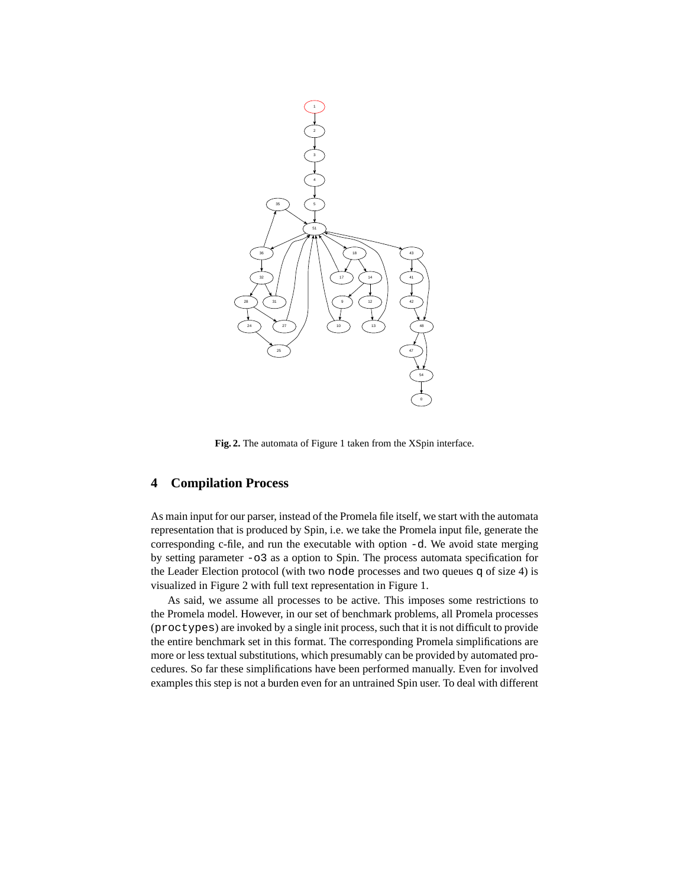

**Fig. 2.** The automata of Figure 1 taken from the XSpin interface.

## **4 Compilation Process**

As main input for our parser, instead of the Promela file itself, we start with the automata representation that is produced by Spin, i.e. we take the Promela input file, generate the corresponding c-file, and run the executable with option -d. We avoid state merging by setting parameter -o3 as a option to Spin. The process automata specification for the Leader Election protocol (with two node processes and two queues q of size 4) is visualized in Figure 2 with full text representation in Figure 1.

As said, we assume all processes to be active. This imposes some restrictions to the Promela model. However, in our set of benchmark problems, all Promela processes (proctypes) are invoked by a single init process, such that it is not difficult to provide the entire benchmark set in this format. The corresponding Promela simplifications are more or less textual substitutions, which presumably can be provided by automated procedures. So far these simplifications have been performed manually. Even for involved examples this step is not a burden even for an untrained Spin user. To deal with different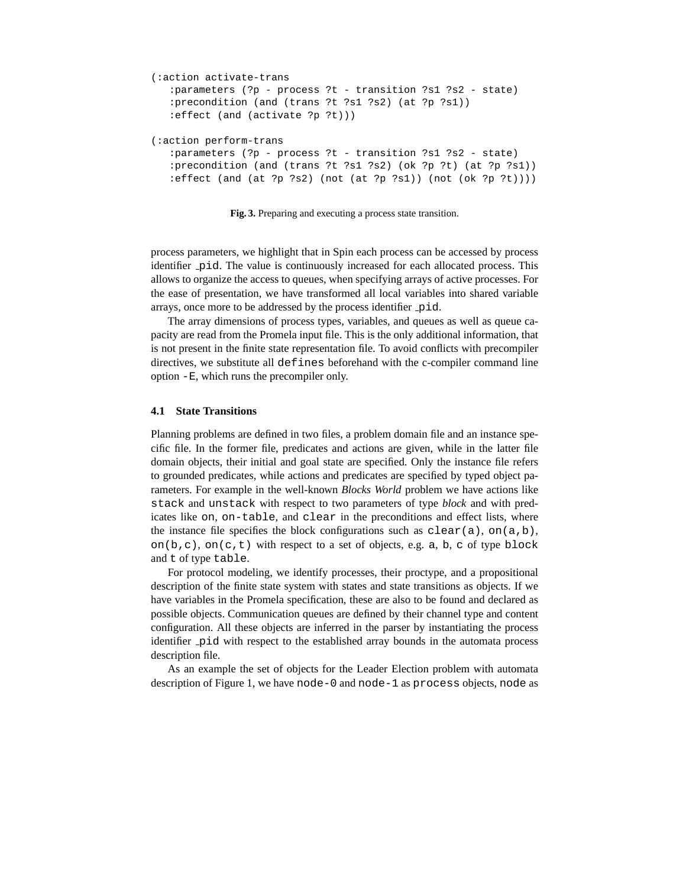```
(:action activate-trans
   :parameters (?p - process ?t - transition ?s1 ?s2 - state)
  :precondition (and (trans ?t ?s1 ?s2) (at ?p ?s1))
  :effect (and (activate ?p ?t)))
(:action perform-trans
  :parameters (?p - process ?t - transition ?s1 ?s2 - state)
   :precondition (and (trans ?t ?s1 ?s2) (ok ?p ?t) (at ?p ?s1))
   :effect (and (at ?p ?s2) (not (at ?p ?s1)) (not (ok ?p ?t))))
```
**Fig. 3.** Preparing and executing a process state transition.

process parameters, we highlight that in Spin each process can be accessed by process identifier pid. The value is continuously increased for each allocated process. This allows to organize the access to queues, when specifying arrays of active processes. For the ease of presentation, we have transformed all local variables into shared variable arrays, once more to be addressed by the process identifier pid.

The array dimensions of process types, variables, and queues as well as queue capacity are read from the Promela input file. This is the only additional information, that is not present in the finite state representation file. To avoid conflicts with precompiler directives, we substitute all defines beforehand with the c-compiler command line option -E, which runs the precompiler only.

#### **4.1 State Transitions**

Planning problems are defined in two files, a problem domain file and an instance specific file. In the former file, predicates and actions are given, while in the latter file domain objects, their initial and goal state are specified. Only the instance file refers to grounded predicates, while actions and predicates are specified by typed object parameters. For example in the well-known *Blocks World* problem we have actions like stack and unstack with respect to two parameters of type *block* and with predicates like on, on-table, and clear in the preconditions and effect lists, where the instance file specifies the block configurations such as  $\text{clear}(a)$ , on $(a,b)$ , on(b,c), on(c,t) with respect to a set of objects, e.g. a, b, c of type block and t of type table.

For protocol modeling, we identify processes, their proctype, and a propositional description of the finite state system with states and state transitions as objects. If we have variables in the Promela specification, these are also to be found and declared as possible objects. Communication queues are defined by their channel type and content configuration. All these objects are inferred in the parser by instantiating the process identifier pid with respect to the established array bounds in the automata process description file.

As an example the set of objects for the Leader Election problem with automata description of Figure 1, we have node-0 and node-1 as process objects, node as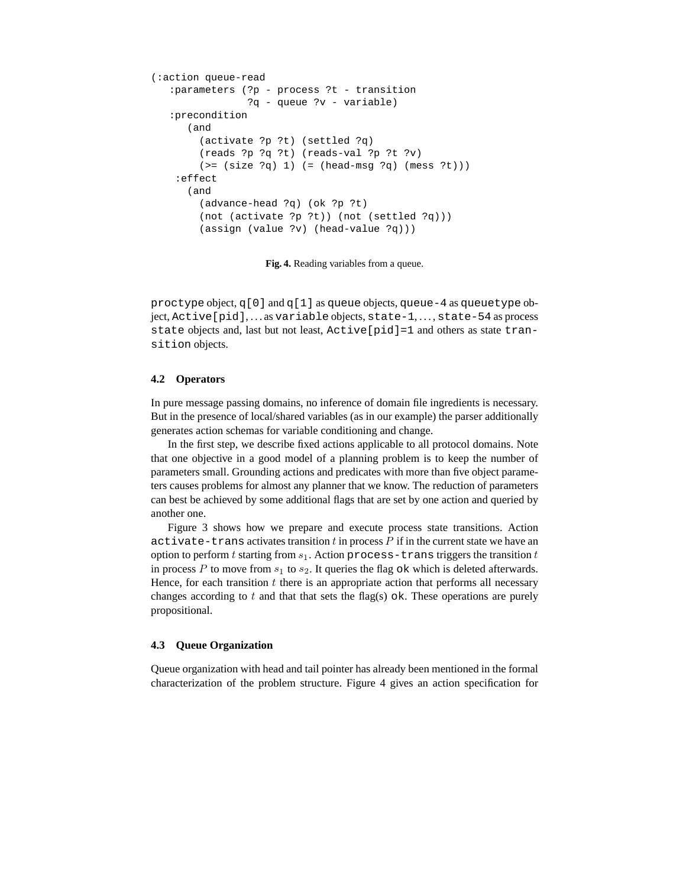```
(:action queue-read
   :parameters (?p - process ?t - transition
                ?q - queue ?v - variable)
   :precondition
      (and
        (activate ?p ?t) (settled ?q)
        (reads ?p ?q ?t) (reads-val ?p ?t ?v)
        (>= (size ?q) 1) (= (head-msg ?q) (mess ?t))):effect
      (and
        (advance-head ?q) (ok ?p ?t)
        (not (activate ?p ?t)) (not (settled ?q)))
        (assign (value ?v) (head-value ?q)))
```
**Fig. 4.** Reading variables from a queue.

proctype object,  $q[0]$  and  $q[1]$  as queue objects, queue-4 as queuetype object, Active[pid],...as variable objects, state-1,..., state-54 as process state objects and, last but not least, Active[pid]=1 and others as state transition objects.

#### **4.2 Operators**

In pure message passing domains, no inference of domain file ingredients is necessary. But in the presence of local/shared variables (as in our example) the parser additionally generates action schemas for variable conditioning and change.

In the first step, we describe fixed actions applicable to all protocol domains. Note that one objective in a good model of a planning problem is to keep the number of parameters small. Grounding actions and predicates with more than five object parameters causes problems for almost any planner that we know. The reduction of parameters can best be achieved by some additional flags that are set by one action and queried by another one.

Figure 3 shows how we prepare and execute process state transitions. Action activate-trans activates transition  $t$  in process  $P$  if in the current state we have an option to perform  $t$  starting from  $s_1$ . Action process-trans triggers the transition  $t$ in process P to move from  $s_1$  to  $s_2$ . It queries the flag  $\circ$ k which is deleted afterwards. Hence, for each transition  $t$  there is an appropriate action that performs all necessary changes according to  $t$  and that that sets the flag(s) ok. These operations are purely propositional.

#### **4.3 Queue Organization**

Queue organization with head and tail pointer has already been mentioned in the formal characterization of the problem structure. Figure 4 gives an action specification for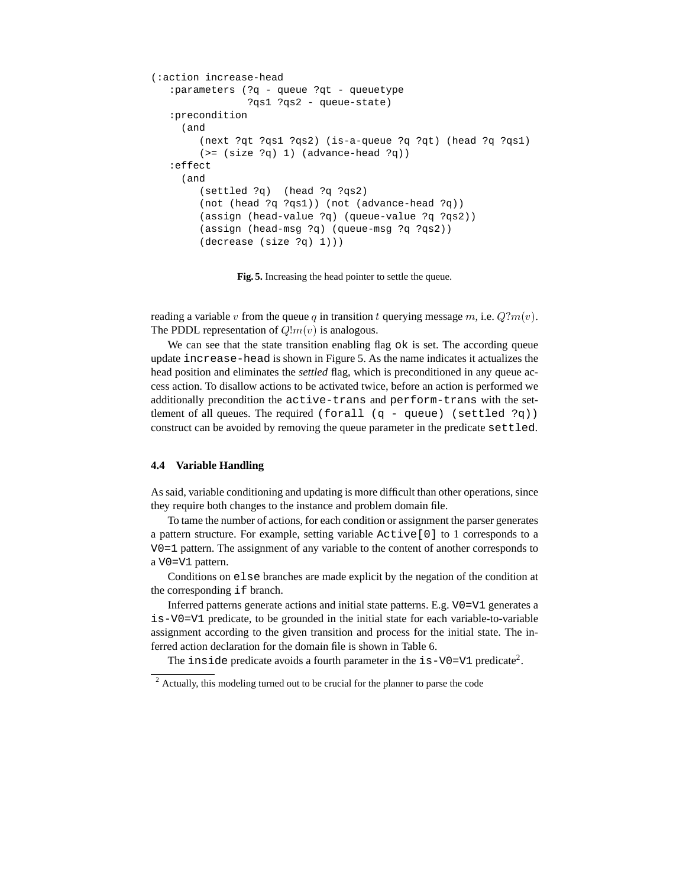```
(:action increase-head
   :parameters (?q - queue ?qt - queuetype
               ?qs1 ?qs2 - queue-state)
   :precondition
    (and
        (next ?qt ?qs1 ?qs2) (is-a-queue ?q ?qt) (head ?q ?qs1)
        (>= (size ?q) 1) (advance-head ?q):effect
    (and
        (settled ?q) (head ?q ?qs2)
        (not (head ?q ?qs1)) (not (advance-head ?q))
       (assign (head-value ?q) (queue-value ?q ?qs2))
        (assign (head-msg ?q) (queue-msg ?q ?qs2))
        (decrease (size ?q) 1)))
```
**Fig. 5.** Increasing the head pointer to settle the queue.

reading a variable v from the queue q in transition t querying message m, i.e.  $Q$ ? $m(v)$ . The PDDL representation of  $Q \, \text{Im}(v)$  is analogous.

We can see that the state transition enabling flag ok is set. The according queue update increase-head is shown in Figure 5. As the name indicates it actualizes the head position and eliminates the *settled* flag, which is preconditioned in any queue access action. To disallow actions to be activated twice, before an action is performed we additionally precondition the active-trans and perform-trans with the settlement of all queues. The required (forall (q - queue) (settled ?q)) construct can be avoided by removing the queue parameter in the predicate settled.

#### **4.4 Variable Handling**

As said, variable conditioning and updating is more difficult than other operations, since they require both changes to the instance and problem domain file.

To tame the number of actions, for each condition or assignment the parser generates a pattern structure. For example, setting variable Active[0] to 1 corresponds to a V0=1 pattern. The assignment of any variable to the content of another corresponds to a V0=V1 pattern.

Conditions on else branches are made explicit by the negation of the condition at the corresponding if branch.

Inferred patterns generate actions and initial state patterns. E.g. V0=V1 generates a is-V0=V1 predicate, to be grounded in the initial state for each variable-to-variable assignment according to the given transition and process for the initial state. The inferred action declaration for the domain file is shown in Table 6.

The inside predicate avoids a fourth parameter in the  $i$ s-V0=V1 predicate<sup>2</sup>.

<sup>&</sup>lt;sup>2</sup> Actually, this modeling turned out to be crucial for the planner to parse the code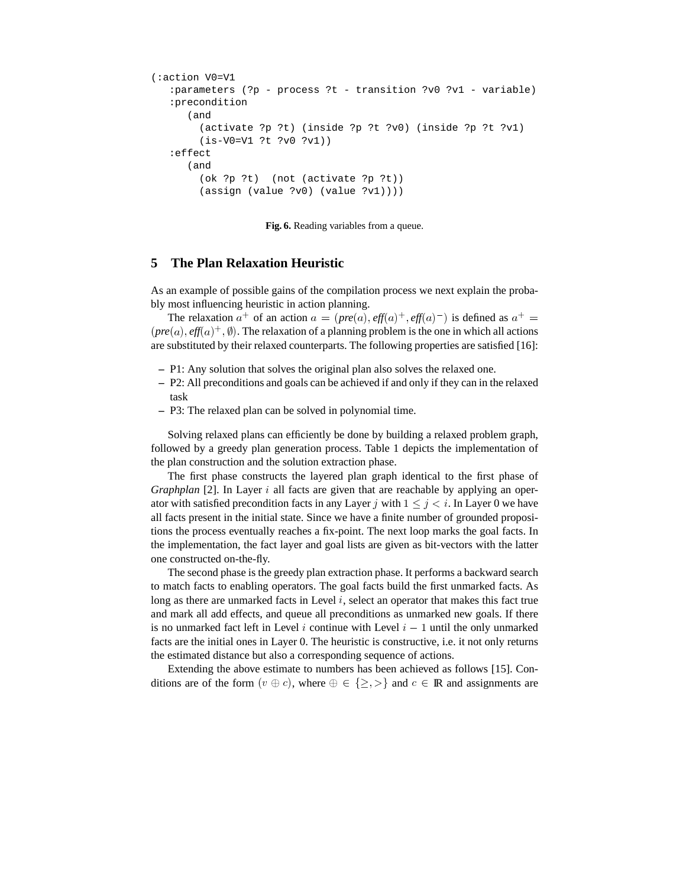```
(:action V0=V1
   :parameters (?p - process ?t - transition ?v0 ?v1 - variable)
   :precondition
      (and
        (activate ?p ?t) (inside ?p ?t ?v0) (inside ?p ?t ?v1)
        (is-V0=V1 ?t ?v0 ?v1))
   :effect
      (and
        (ok ?p ?t) (not (activate ?p ?t))
        (assign (value ?v0) (value ?v1))))
```
**Fig. 6.** Reading variables from a queue.

## **5 The Plan Relaxation Heuristic**

As an example of possible gains of the compilation process we next explain the probably most influencing heuristic in action planning.

The relaxation  $a^+$  of an action  $a = (pre(a), eff(a)^+, eff(a)^-)$  is defined as  $a^+ =$  *pre* %) *eff* j4)+¯ . The relaxation of a planning problem is the one in which all actions are substituted by their relaxed counterparts. The following properties are satisfied [16]:

- **–** P1: Any solution that solves the original plan also solves the relaxed one.
- **–** P2: All preconditions and goals can be achieved if and only if they can in the relaxed task
- **–** P3: The relaxed plan can be solved in polynomial time.

Solving relaxed plans can efficiently be done by building a relaxed problem graph, followed by a greedy plan generation process. Table 1 depicts the implementation of the plan construction and the solution extraction phase.

The first phase constructs the layered plan graph identical to the first phase of *Graphplan* [2]. In Layer *i* all facts are given that are reachable by applying an operator with satisfied precondition facts in any Layer j with  $1 \le j \le i$ . In Layer 0 we have all facts present in the initial state. Since we have a finite number of grounded propositions the process eventually reaches a fix-point. The next loop marks the goal facts. In the implementation, the fact layer and goal lists are given as bit-vectors with the latter one constructed on-the-fly.

The second phase is the greedy plan extraction phase. It performs a backward search to match facts to enabling operators. The goal facts build the first unmarked facts. As long as there are unmarked facts in Level  $i$ , select an operator that makes this fact true and mark all add effects, and queue all preconditions as unmarked new goals. If there is no unmarked fact left in Level i continue with Level  $i - 1$  until the only unmarked facts are the initial ones in Layer 0. The heuristic is constructive, i.e. it not only returns the estimated distance but also a corresponding sequence of actions.

Extending the above estimate to numbers has been achieved as follows [15]. Conditions are of the form  $(v \oplus c)$ , where  $\oplus \in \{\geq, >\}$  and  $c \in \mathbb{R}$  and assignments are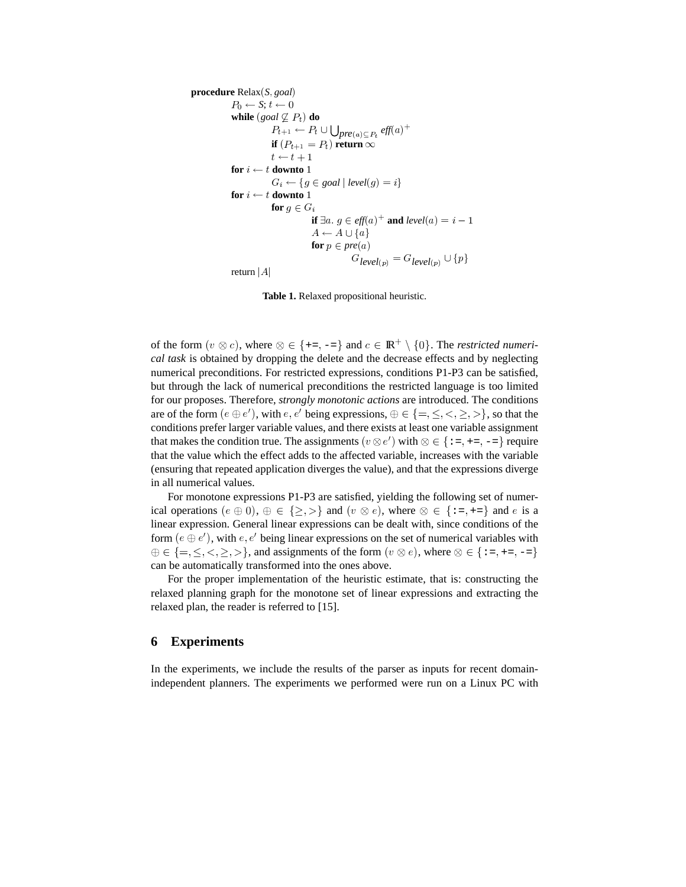```
procedure Relax(S, goal)
           P_0 \leftarrow S; t \leftarrow 0while (goa \nsubseteq P_t) do
                      P_{t+1} \leftarrow P_t \cup \bigcup_{pre(a) \subseteq P_t} \textit{eff}(a)^+if (P_{t+1} = P_t) return \inftyt \leftarrow t + 1¹
ËÍÌ
           for i \leftarrow t downto 1
                       G_i \leftarrow \{ g \in goal \mid level(g) = i \}for i \leftarrow t downto 1
                      for q \in Gif \exists a. g \in \text{eff}(a)^+ and \text{level}(a) = i - 1A \leftarrow A \cup \{a\}for p \in pre(a)G_{level(p)} = G_{level(p)} \cup \{p\}return |A|
```
**Table 1.** Relaxed propositional heuristic.

of the form  $(v \otimes c)$ , where  $\otimes \in \{ \text{+}= , \text{-}=\}$  and  $c \in \mathbb{R}^+ \setminus \{0\}$ . The *restricted numerical task* is obtained by dropping the delete and the decrease effects and by neglecting numerical preconditions. For restricted expressions, conditions P1-P3 can be satisfied, but through the lack of numerical preconditions the restricted language is too limited for our proposes. Therefore, *strongly monotonic actions* are introduced. The conditions are of the form  $(e \oplus e')$ , with  $e, e'$  being expressions,  $\oplus \in \{=,\leq,<,\geq,\geq\}$ , so that the conditions prefer larger variable values, and there exists at least one variable assignment that makes the condition true. The assignments  $(v \otimes e')$  with  $\otimes \in \{ \div, \div, \div, \div \}$  require that the value which the effect adds to the affected variable, increases with the variable (ensuring that repeated application diverges the value), and that the expressions diverge in all numerical values.

For monotone expressions P1-P3 are satisfied, yielding the following set of numerical operations  $(e \oplus 0), \oplus \in \{\geq, \gt\}$  and  $(v \otimes e)$ , where  $\otimes \in \{\div, \div, \div\}$  and e is a linear expression. General linear expressions can be dealt with, since conditions of the form  $(e \oplus e')$ , with  $e, e'$  being linear expressions on the set of numerical variables with  $\oplus \in \{ =, \leq, \lt, \geq, > \}$ , and assignments of the form  $(v \otimes e)$ , where  $\otimes \in \{ :=, +=, -= \}$ can be automatically transformed into the ones above.

For the proper implementation of the heuristic estimate, that is: constructing the relaxed planning graph for the monotone set of linear expressions and extracting the relaxed plan, the reader is referred to [15].

### **6 Experiments**

In the experiments, we include the results of the parser as inputs for recent domainindependent planners. The experiments we performed were run on a Linux PC with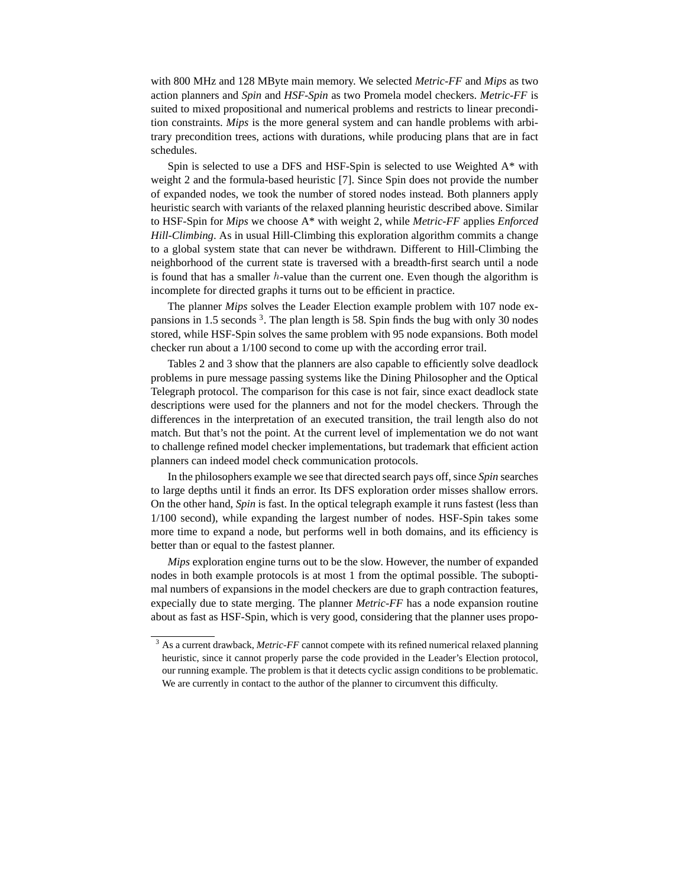with 800 MHz and 128 MByte main memory. We selected *Metric-FF* and *Mips* as two action planners and *Spin* and *HSF-Spin* as two Promela model checkers. *Metric-FF* is suited to mixed propositional and numerical problems and restricts to linear precondition constraints. *Mips* is the more general system and can handle problems with arbitrary precondition trees, actions with durations, while producing plans that are in fact schedules.

Spin is selected to use a DFS and HSF-Spin is selected to use Weighted A\* with weight 2 and the formula-based heuristic [7]. Since Spin does not provide the number of expanded nodes, we took the number of stored nodes instead. Both planners apply heuristic search with variants of the relaxed planning heuristic described above. Similar to HSF-Spin for *Mips* we choose A\* with weight 2, while *Metric-FF* applies *Enforced Hill-Climbing*. As in usual Hill-Climbing this exploration algorithm commits a change to a global system state that can never be withdrawn. Different to Hill-Climbing the neighborhood of the current state is traversed with a breadth-first search until a node is found that has a smaller  $h$ -value than the current one. Even though the algorithm is incomplete for directed graphs it turns out to be efficient in practice.

The planner *Mips* solves the Leader Election example problem with 107 node expansions in 1.5 seconds<sup>3</sup>. The plan length is 58. Spin finds the bug with only 30 nodes stored, while HSF-Spin solves the same problem with 95 node expansions. Both model checker run about a 1/100 second to come up with the according error trail.

Tables 2 and 3 show that the planners are also capable to efficiently solve deadlock problems in pure message passing systems like the Dining Philosopher and the Optical Telegraph protocol. The comparison for this case is not fair, since exact deadlock state descriptions were used for the planners and not for the model checkers. Through the differences in the interpretation of an executed transition, the trail length also do not match. But that's not the point. At the current level of implementation we do not want to challenge refined model checker implementations, but trademark that efficient action planners can indeed model check communication protocols.

In the philosophers example we see that directed search pays off, since *Spin* searches to large depths until it finds an error. Its DFS exploration order misses shallow errors. On the other hand, *Spin* is fast. In the optical telegraph example it runs fastest (less than 1/100 second), while expanding the largest number of nodes. HSF-Spin takes some more time to expand a node, but performs well in both domains, and its efficiency is better than or equal to the fastest planner.

*Mips* exploration engine turns out to be the slow. However, the number of expanded nodes in both example protocols is at most 1 from the optimal possible. The suboptimal numbers of expansions in the model checkers are due to graph contraction features, expecially due to state merging. The planner *Metric-FF* has a node expansion routine about as fast as HSF-Spin, which is very good, considering that the planner uses propo-

<sup>&</sup>lt;sup>3</sup> As a current drawback, *Metric-FF* cannot compete with its refined numerical relaxed planning heuristic, since it cannot properly parse the code provided in the Leader's Election protocol, our running example. The problem is that it detects cyclic assign conditions to be problematic. We are currently in contact to the author of the planner to circumvent this difficulty.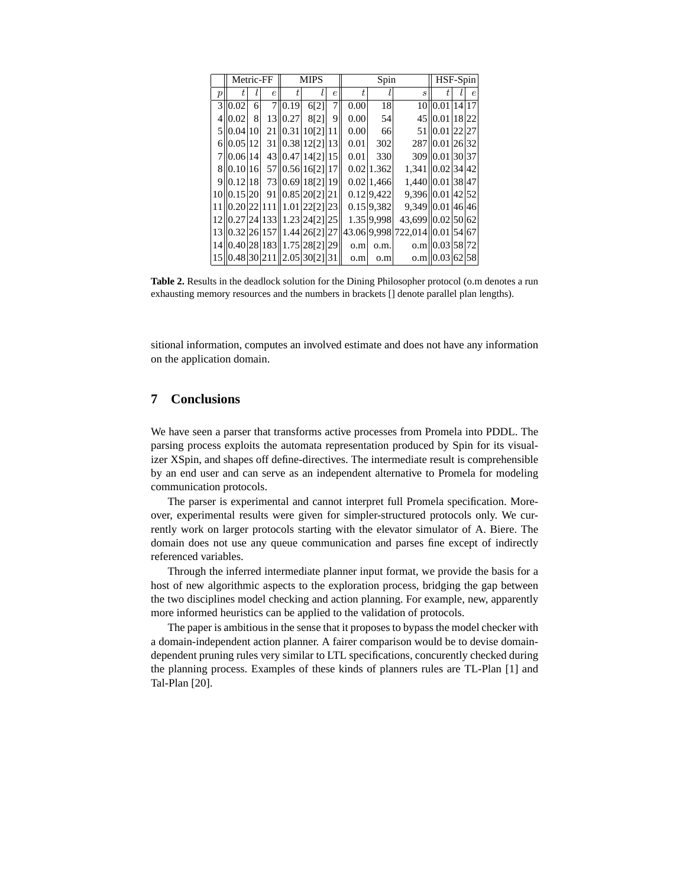|                  | Metric-FF  |   |            |         | <b>MIPS</b>                    |            |      | Spin         |                                | HSF-Spin         |            |  |
|------------------|------------|---|------------|---------|--------------------------------|------------|------|--------------|--------------------------------|------------------|------------|--|
| $\boldsymbol{p}$ |            |   | $\epsilon$ |         |                                | $\epsilon$ |      |              | $\boldsymbol{s}$               |                  | $\epsilon$ |  |
|                  | 310.02     | 6 |            | 7 0.19  | 6[2]                           | 7          | 0.00 | 18           |                                | 10 0.01 14 17    |            |  |
| 4                | 0.02       | 8 |            | 13 0.27 | 8[2]                           | 9          | 0.00 | 54           |                                | 45 0.01 18 22    |            |  |
|                  | 5 10.04 10 |   |            |         | 21  0.31 10[2] 11              |            | 0.00 | 66           |                                | 51 0.01 22 27    |            |  |
|                  | 6 0.05 12  |   |            |         | 31 0.38 12 [2] 13              |            | 0.01 | 302          |                                | 287 0.01 26 32   |            |  |
|                  | 7 0.06 14  |   |            |         | 43 0.47 14 [2] 15              |            | 0.01 | 330          |                                | 309 0.01 30 37   |            |  |
|                  | 8 0.10 16  |   |            |         | 57 0.56 16 [2] 17              |            |      | 0.0211.362   | 1,341 0.02 34 42               |                  |            |  |
|                  | 9 0.12 18  |   |            |         | 73 0.69 18 [2] 19              |            |      | $0.02$ 1,466 | 1,440 0.01 38 47               |                  |            |  |
|                  |            |   |            |         | 10  0.15 20  91  0.85 20 21 21 |            |      | 0.12 9.422   | 9,396 0.01 42 52               |                  |            |  |
|                  |            |   |            |         | 11  0.20 22 111  1.01 22[2] 23 |            |      | $0.15$ 9.382 | 9,349 0.01 46 46               |                  |            |  |
|                  |            |   |            |         | 12  0.27 24 133  1.23 24 21 25 |            |      | 1.35 9.998   | 43,699 0.02 50 62              |                  |            |  |
|                  |            |   |            |         | 13 0.32 26 157 1.44 26 [2] 27  |            |      |              | 43.06 9.998 722,014 0.01 54 67 |                  |            |  |
|                  |            |   |            |         | 14 0.40 28 183 1.75 28 [2] 29  |            | o.m  | o.m.         |                                | $o.m$ 0.03 58 72 |            |  |
|                  |            |   |            |         | 15  0.48 30 211  2.05 30[2] 31 |            | o.m  | o.m          |                                | $o.m$ 0.03 62 58 |            |  |

**Table 2.** Results in the deadlock solution for the Dining Philosopher protocol (o.m denotes a run exhausting memory resources and the numbers in brackets [] denote parallel plan lengths).

sitional information, computes an involved estimate and does not have any information on the application domain.

## **7 Conclusions**

We have seen a parser that transforms active processes from Promela into PDDL. The parsing process exploits the automata representation produced by Spin for its visualizer XSpin, and shapes off define-directives. The intermediate result is comprehensible by an end user and can serve as an independent alternative to Promela for modeling communication protocols.

The parser is experimental and cannot interpret full Promela specification. Moreover, experimental results were given for simpler-structured protocols only. We currently work on larger protocols starting with the elevator simulator of A. Biere. The domain does not use any queue communication and parses fine except of indirectly referenced variables.

Through the inferred intermediate planner input format, we provide the basis for a host of new algorithmic aspects to the exploration process, bridging the gap between the two disciplines model checking and action planning. For example, new, apparently more informed heuristics can be applied to the validation of protocols.

The paper is ambitious in the sense that it proposes to bypass the model checker with a domain-independent action planner. A fairer comparison would be to devise domaindependent pruning rules very similar to LTL specifications, concurently checked during the planning process. Examples of these kinds of planners rules are TL-Plan [1] and Tal-Plan [20].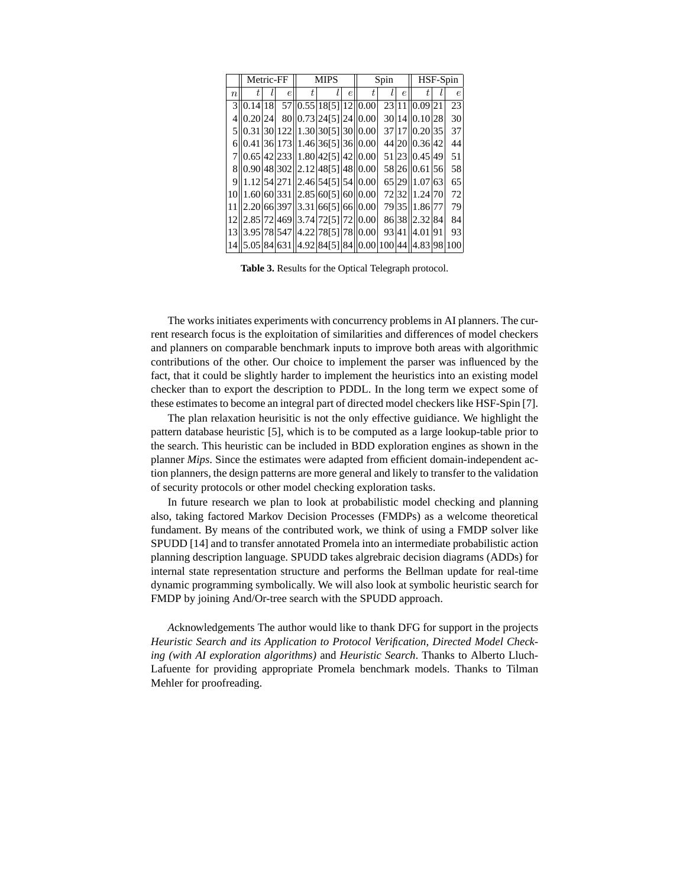|        |             | Metric-FF  | <b>MIPS</b>                                                                      |            | Spin |       | HSF-Spin   |               |  |            |
|--------|-------------|------------|----------------------------------------------------------------------------------|------------|------|-------|------------|---------------|--|------------|
| $\, n$ |             | $\epsilon$ |                                                                                  | $\epsilon$ | t.   |       | $\epsilon$ | Ť.            |  | $\epsilon$ |
|        | 3 0.14 18   |            | 57  0.55 18 5] 12  0.00                                                          |            |      |       |            | 23 11 0.09 21 |  | 23         |
|        | 4 1 0.20 24 |            | 80  0.73  24  51  24  0.00                                                       |            |      |       |            | 30 14 0.10 28 |  | 30         |
|        |             |            | 0.31 30 122  1.30 30[5] 30 0.00                                                  |            |      |       |            | 37 17 0.20 35 |  | 37         |
|        |             |            | 6  0.41 36 173  1.46 36 51 36  0.00                                              |            |      |       |            | 44 20 0.36 42 |  | 44         |
|        |             |            | 0.65 42 233  1.80 42[5] 42  0.00                                                 |            |      |       |            | 51 23 0.45 49 |  | 51         |
|        |             |            | 8  0.90 48 302  2.12 48 51 48  0.00                                              |            |      |       |            | 58 26 0.61 56 |  | 58         |
|        |             |            | 9 1.12 54 271 2.46 54 [5] 54 $ 0.00 $                                            |            |      |       |            | 65 29 1.07 63 |  | 65         |
|        |             |            | 10  1.60  60  331    2.85   60 [ 5 ]   60    0.00                                |            |      |       |            | 723211.2470   |  | 72         |
|        |             |            | 11  2.20 66 397  3.31 66 51 66  0.00  79 35  1.86 77                             |            |      |       |            |               |  | 79         |
|        |             |            | 12  2.85 72 469  3.74 72[5] 72  0.00                                             |            |      |       |            | 86 38 2.32 84 |  | 84         |
| 13     |             |            | 3.95 78 547  4.22 78[5] 78  0.00                                                 |            |      | 93 41 |            | 4.0191        |  | 93         |
|        |             |            | 14   5.05   84   631   14.92   84   51   84   0.00   100   44   14.83   98   100 |            |      |       |            |               |  |            |

**Table 3.** Results for the Optical Telegraph protocol.

The works initiates experiments with concurrency problems in AI planners. The current research focus is the exploitation of similarities and differences of model checkers and planners on comparable benchmark inputs to improve both areas with algorithmic contributions of the other. Our choice to implement the parser was influenced by the fact, that it could be slightly harder to implement the heuristics into an existing model checker than to export the description to PDDL. In the long term we expect some of these estimates to become an integral part of directed model checkers like HSF-Spin [7].

The plan relaxation heurisitic is not the only effective guidiance. We highlight the pattern database heuristic [5], which is to be computed as a large lookup-table prior to the search. This heuristic can be included in BDD exploration engines as shown in the planner *Mips*. Since the estimates were adapted from efficient domain-independent action planners, the design patterns are more general and likely to transfer to the validation of security protocols or other model checking exploration tasks.

In future research we plan to look at probabilistic model checking and planning also, taking factored Markov Decision Processes (FMDPs) as a welcome theoretical fundament. By means of the contributed work, we think of using a FMDP solver like SPUDD [14] and to transfer annotated Promela into an intermediate probabilistic action planning description language. SPUDD takes algrebraic decision diagrams (ADDs) for internal state representation structure and performs the Bellman update for real-time dynamic programming symbolically. We will also look at symbolic heuristic search for FMDP by joining And/Or-tree search with the SPUDD approach.

*A*cknowledgements The author would like to thank DFG for support in the projects *Heuristic Search and its Application to Protocol Verification*, *Directed Model Checking (with AI exploration algorithms)* and *Heuristic Search*. Thanks to Alberto Lluch-Lafuente for providing appropriate Promela benchmark models. Thanks to Tilman Mehler for proofreading.